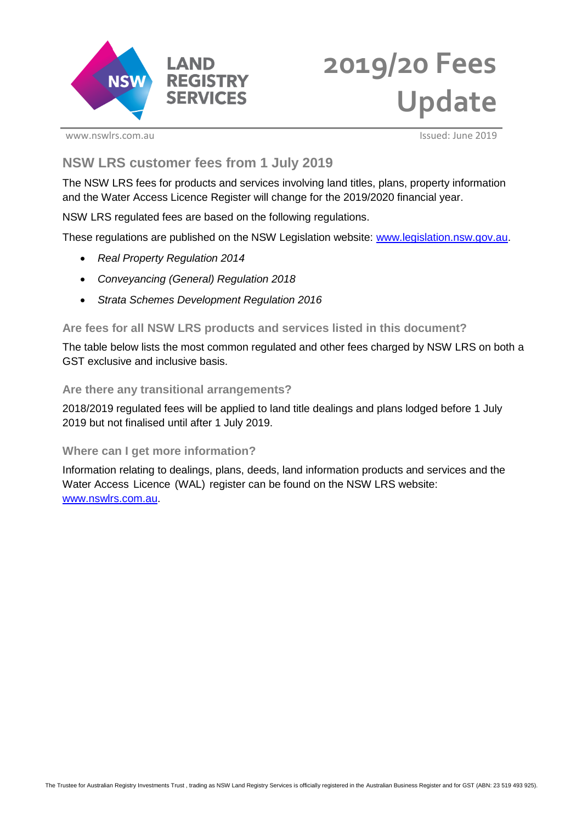

# **2019/20 Fees Update**

www.nswlrs.com.au Issued: June 2019

# **NSW LRS customer fees from 1 July 2019**

The NSW LRS fees for products and services involving land titles, plans, property information and the Water Access Licence Register will change for the 2019/2020 financial year.

NSW LRS regulated fees are based on the following regulations.

These regulations are published on the NSW Legislation website: [www.legislation.nsw.gov.au.](http://www.legislation.nsw.gov.au/)

- *Real Property Regulation 2014*
- *Conveyancing (General) Regulation 2018*
- *Strata Schemes Development Regulation 2016*

## **Are fees for all NSW LRS products and services listed in this document?**

The table below lists the most common regulated and other fees charged by NSW LRS on both a GST exclusive and inclusive basis.

### **Are there any transitional arrangements?**

2018/2019 regulated fees will be applied to land title dealings and plans lodged before 1 July 2019 but not finalised until after 1 July 2019.

### **Where can I get more information?**

Information relating to dealings, plans, deeds, land information products and services and the Water Access Licence (WAL) register can be found on the NSW LRS website: [www.nswlrs.com.au.](http://www.nswlrs.com.au/)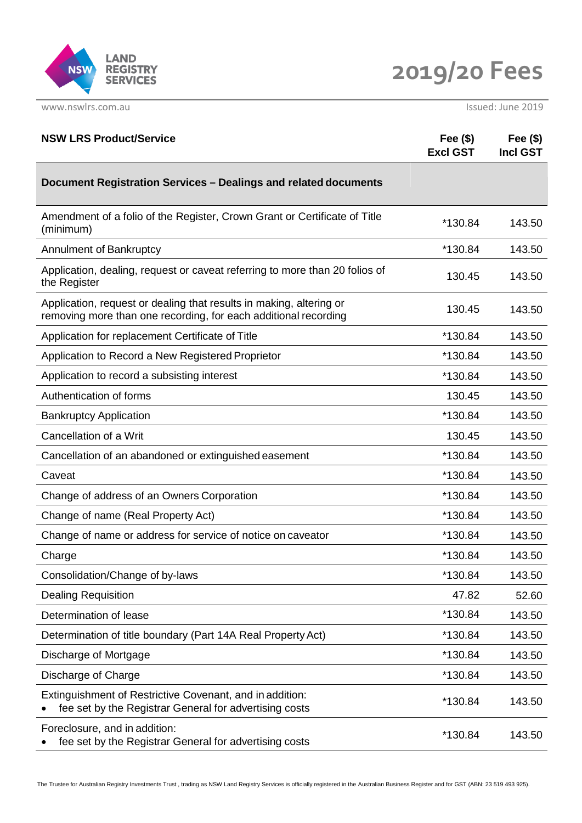

**2019/20 Fees**

www.nswlrs.com.au Issued: June 2019

| <b>NSW LRS Product/Service</b>                                                                                                         | Fee $(\$)$<br><b>Excl GST</b> | Fee $(\$)$<br><b>Incl GST</b> |
|----------------------------------------------------------------------------------------------------------------------------------------|-------------------------------|-------------------------------|
| Document Registration Services - Dealings and related documents                                                                        |                               |                               |
| Amendment of a folio of the Register, Crown Grant or Certificate of Title<br>(minimum)                                                 | *130.84                       | 143.50                        |
| Annulment of Bankruptcy                                                                                                                | *130.84                       | 143.50                        |
| Application, dealing, request or caveat referring to more than 20 folios of<br>the Register                                            | 130.45                        | 143.50                        |
| Application, request or dealing that results in making, altering or<br>removing more than one recording, for each additional recording | 130.45                        | 143.50                        |
| Application for replacement Certificate of Title                                                                                       | *130.84                       | 143.50                        |
| Application to Record a New Registered Proprietor                                                                                      | *130.84                       | 143.50                        |
| Application to record a subsisting interest                                                                                            | *130.84                       | 143.50                        |
| Authentication of forms                                                                                                                | 130.45                        | 143.50                        |
| <b>Bankruptcy Application</b>                                                                                                          | *130.84                       | 143.50                        |
| Cancellation of a Writ                                                                                                                 | 130.45                        | 143.50                        |
| Cancellation of an abandoned or extinguished easement                                                                                  | *130.84                       | 143.50                        |
| Caveat                                                                                                                                 | *130.84                       | 143.50                        |
| Change of address of an Owners Corporation                                                                                             | *130.84                       | 143.50                        |
| Change of name (Real Property Act)                                                                                                     | *130.84                       | 143.50                        |
| Change of name or address for service of notice on caveator                                                                            | *130.84                       | 143.50                        |
| Charge                                                                                                                                 | *130.84                       | 143.50                        |
| Consolidation/Change of by-laws                                                                                                        | *130.84                       | 143.50                        |
| <b>Dealing Requisition</b>                                                                                                             | 47.82                         | 52.60                         |
| Determination of lease                                                                                                                 | *130.84                       | 143.50                        |
| Determination of title boundary (Part 14A Real Property Act)                                                                           | *130.84                       | 143.50                        |
| Discharge of Mortgage                                                                                                                  | *130.84                       | 143.50                        |
| Discharge of Charge                                                                                                                    | *130.84                       | 143.50                        |
| Extinguishment of Restrictive Covenant, and in addition:<br>fee set by the Registrar General for advertising costs                     | *130.84                       | 143.50                        |
| Foreclosure, and in addition:<br>fee set by the Registrar General for advertising costs                                                | *130.84                       | 143.50                        |

The Trustee for Australian Registry Investments Trust , trading as NSW Land Registry Services is officially registered in the Australian Business Register and for GST (ABN: 23 519 493 925).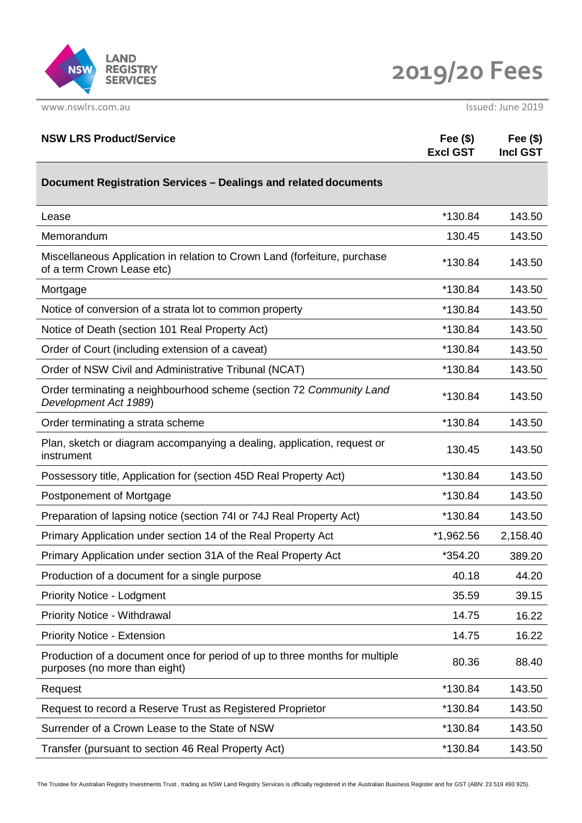

| <b>NSW LRS Product/Service</b>                                                                               | Fee $(\$)$<br><b>Excl GST</b> | Fee $(\$)$<br><b>Incl GST</b> |
|--------------------------------------------------------------------------------------------------------------|-------------------------------|-------------------------------|
| Document Registration Services - Dealings and related documents                                              |                               |                               |
| Lease                                                                                                        | *130.84                       | 143.50                        |
| Memorandum                                                                                                   | 130.45                        | 143.50                        |
| Miscellaneous Application in relation to Crown Land (forfeiture, purchase<br>of a term Crown Lease etc)      | *130.84                       | 143.50                        |
| Mortgage                                                                                                     | *130.84                       | 143.50                        |
| Notice of conversion of a strata lot to common property                                                      | *130.84                       | 143.50                        |
| Notice of Death (section 101 Real Property Act)                                                              | *130.84                       | 143.50                        |
| Order of Court (including extension of a caveat)                                                             | *130.84                       | 143.50                        |
| Order of NSW Civil and Administrative Tribunal (NCAT)                                                        | *130.84                       | 143.50                        |
| Order terminating a neighbourhood scheme (section 72 Community Land<br>Development Act 1989)                 | *130.84                       | 143.50                        |
| Order terminating a strata scheme                                                                            | *130.84                       | 143.50                        |
| Plan, sketch or diagram accompanying a dealing, application, request or<br>instrument                        | 130.45                        | 143.50                        |
| Possessory title, Application for (section 45D Real Property Act)                                            | *130.84                       | 143.50                        |
| Postponement of Mortgage                                                                                     | *130.84                       | 143.50                        |
| Preparation of lapsing notice (section 74I or 74J Real Property Act)                                         | *130.84                       | 143.50                        |
| Primary Application under section 14 of the Real Property Act                                                | *1,962.56                     | 2,158.40                      |
| Primary Application under section 31A of the Real Property Act                                               | *354.20                       | 389.20                        |
| Production of a document for a single purpose                                                                | 40.18                         | 44.20                         |
| <b>Priority Notice - Lodgment</b>                                                                            | 35.59                         | 39.15                         |
| <b>Priority Notice - Withdrawal</b>                                                                          | 14.75                         | 16.22                         |
| Priority Notice - Extension                                                                                  | 14.75                         | 16.22                         |
| Production of a document once for period of up to three months for multiple<br>purposes (no more than eight) | 80.36                         | 88.40                         |
| Request                                                                                                      | *130.84                       | 143.50                        |
| Request to record a Reserve Trust as Registered Proprietor                                                   | *130.84                       | 143.50                        |
| Surrender of a Crown Lease to the State of NSW                                                               | *130.84                       | 143.50                        |
| Transfer (pursuant to section 46 Real Property Act)                                                          | *130.84                       | 143.50                        |
|                                                                                                              |                               |                               |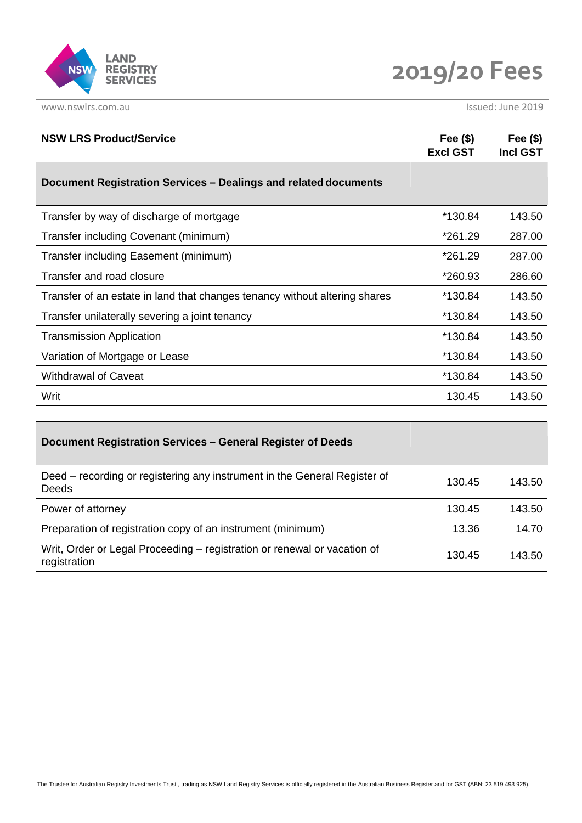

**2019/20 Fees**

| Fee $(\$)$<br><b>Excl GST</b> | Fee $(\$)$<br><b>Incl GST</b> |
|-------------------------------|-------------------------------|
|                               |                               |
| *130.84                       | 143.50                        |
| *261.29                       | 287.00                        |
| *261.29                       | 287.00                        |
| *260.93                       | 286.60                        |
| *130.84                       | 143.50                        |
| *130.84                       | 143.50                        |
| *130.84                       | 143.50                        |
| *130.84                       | 143.50                        |
| *130.84                       | 143.50                        |
| 130.45                        | 143.50                        |
|                               |                               |

| Document Registration Services - General Register of Deeds                               |        |        |
|------------------------------------------------------------------------------------------|--------|--------|
| Deed – recording or registering any instrument in the General Register of<br>Deeds       | 130.45 | 143.50 |
| Power of attorney                                                                        | 130.45 | 143.50 |
| Preparation of registration copy of an instrument (minimum)                              | 13.36  | 14.70  |
| Writ, Order or Legal Proceeding – registration or renewal or vacation of<br>registration | 130.45 | 143.50 |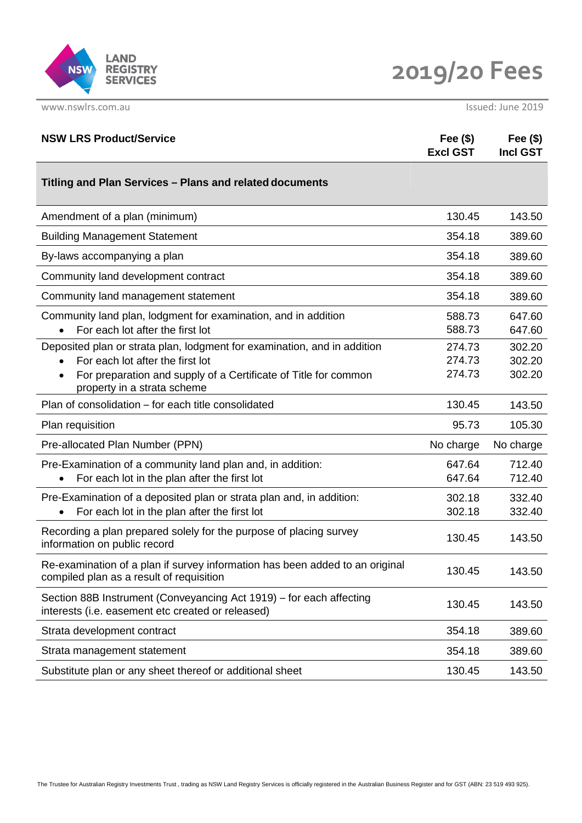

| <b>NSW LRS Product/Service</b>                                                                                                                                                                                              | Fee $($ \$)<br><b>Excl GST</b> | Fee $(\$)$<br><b>Incl GST</b> |
|-----------------------------------------------------------------------------------------------------------------------------------------------------------------------------------------------------------------------------|--------------------------------|-------------------------------|
| Titling and Plan Services - Plans and related documents                                                                                                                                                                     |                                |                               |
| Amendment of a plan (minimum)                                                                                                                                                                                               | 130.45                         | 143.50                        |
| <b>Building Management Statement</b>                                                                                                                                                                                        | 354.18                         | 389.60                        |
| By-laws accompanying a plan                                                                                                                                                                                                 | 354.18                         | 389.60                        |
| Community land development contract                                                                                                                                                                                         | 354.18                         | 389.60                        |
| Community land management statement                                                                                                                                                                                         | 354.18                         | 389.60                        |
| Community land plan, lodgment for examination, and in addition<br>For each lot after the first lot                                                                                                                          | 588.73<br>588.73               | 647.60<br>647.60              |
| Deposited plan or strata plan, lodgment for examination, and in addition<br>For each lot after the first lot<br>For preparation and supply of a Certificate of Title for common<br>$\bullet$<br>property in a strata scheme | 274.73<br>274.73<br>274.73     | 302.20<br>302.20<br>302.20    |
| Plan of consolidation – for each title consolidated                                                                                                                                                                         | 130.45                         | 143.50                        |
| Plan requisition                                                                                                                                                                                                            | 95.73                          | 105.30                        |
| Pre-allocated Plan Number (PPN)                                                                                                                                                                                             | No charge                      | No charge                     |
| Pre-Examination of a community land plan and, in addition:<br>For each lot in the plan after the first lot                                                                                                                  | 647.64<br>647.64               | 712.40<br>712.40              |
| Pre-Examination of a deposited plan or strata plan and, in addition:<br>For each lot in the plan after the first lot<br>$\bullet$                                                                                           | 302.18<br>302.18               | 332.40<br>332.40              |
| Recording a plan prepared solely for the purpose of placing survey<br>information on public record                                                                                                                          | 130.45                         | 143.50                        |
| Re-examination of a plan if survey information has been added to an original<br>compiled plan as a result of requisition                                                                                                    | 130.45                         | 143.50                        |
| Section 88B Instrument (Conveyancing Act 1919) – for each affecting<br>interests (i.e. easement etc created or released)                                                                                                    | 130.45                         | 143.50                        |
| Strata development contract                                                                                                                                                                                                 | 354.18                         | 389.60                        |
| Strata management statement                                                                                                                                                                                                 | 354.18                         | 389.60                        |
| Substitute plan or any sheet thereof or additional sheet                                                                                                                                                                    | 130.45                         | 143.50                        |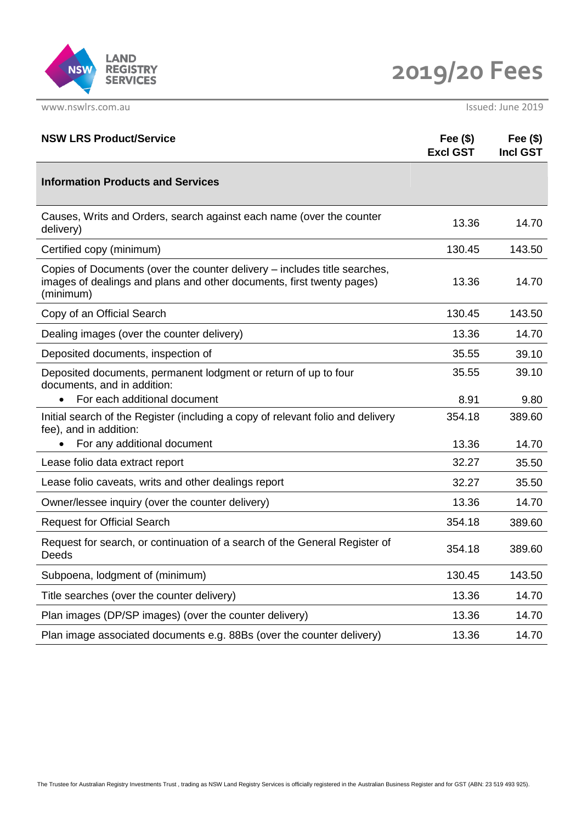

**2019/20 Fees**

| <b>NSW LRS Product/Service</b>                                                                                                                                  | Fee $(\$)$<br><b>Excl GST</b> | Fee $(\$)$<br><b>Incl GST</b> |
|-----------------------------------------------------------------------------------------------------------------------------------------------------------------|-------------------------------|-------------------------------|
| <b>Information Products and Services</b>                                                                                                                        |                               |                               |
| Causes, Writs and Orders, search against each name (over the counter<br>delivery)                                                                               | 13.36                         | 14.70                         |
| Certified copy (minimum)                                                                                                                                        | 130.45                        | 143.50                        |
| Copies of Documents (over the counter delivery - includes title searches,<br>images of dealings and plans and other documents, first twenty pages)<br>(minimum) | 13.36                         | 14.70                         |
| Copy of an Official Search                                                                                                                                      | 130.45                        | 143.50                        |
| Dealing images (over the counter delivery)                                                                                                                      | 13.36                         | 14.70                         |
| Deposited documents, inspection of                                                                                                                              | 35.55                         | 39.10                         |
| Deposited documents, permanent lodgment or return of up to four<br>documents, and in addition:                                                                  | 35.55                         | 39.10                         |
| For each additional document                                                                                                                                    | 8.91                          | 9.80                          |
| Initial search of the Register (including a copy of relevant folio and delivery<br>fee), and in addition:                                                       | 354.18                        | 389.60                        |
| For any additional document                                                                                                                                     | 13.36                         | 14.70                         |
| Lease folio data extract report                                                                                                                                 | 32.27                         | 35.50                         |
| Lease folio caveats, writs and other dealings report                                                                                                            | 32.27                         | 35.50                         |
| Owner/lessee inquiry (over the counter delivery)                                                                                                                | 13.36                         | 14.70                         |
| <b>Request for Official Search</b>                                                                                                                              | 354.18                        | 389.60                        |
| Request for search, or continuation of a search of the General Register of<br>Deeds                                                                             | 354.18                        | 389.60                        |
| Subpoena, lodgment of (minimum)                                                                                                                                 | 130.45                        | 143.50                        |
| Title searches (over the counter delivery)                                                                                                                      | 13.36                         | 14.70                         |
| Plan images (DP/SP images) (over the counter delivery)                                                                                                          | 13.36                         | 14.70                         |
| Plan image associated documents e.g. 88Bs (over the counter delivery)                                                                                           | 13.36                         | 14.70                         |